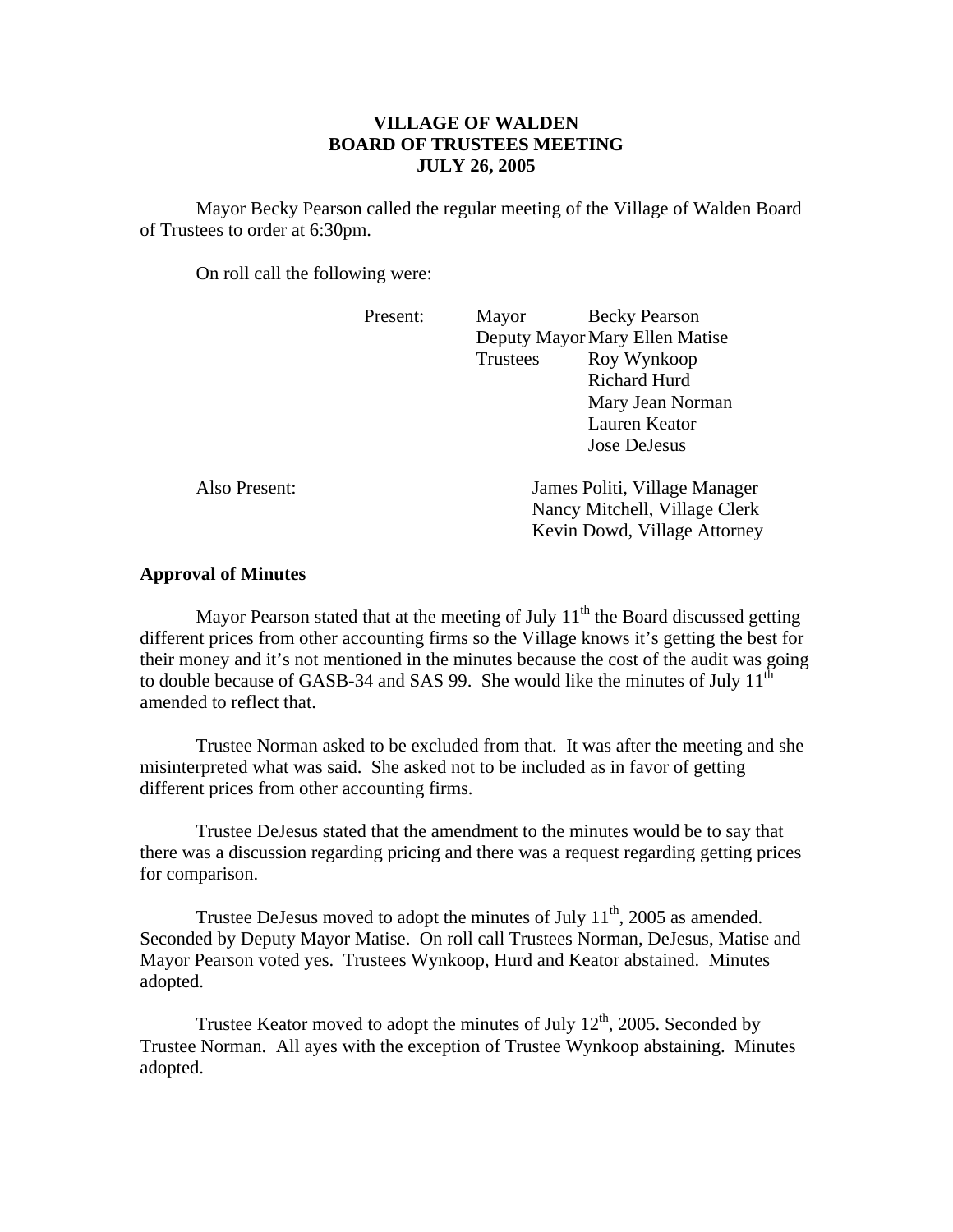## **VILLAGE OF WALDEN BOARD OF TRUSTEES MEETING JULY 26, 2005**

 Mayor Becky Pearson called the regular meeting of the Village of Walden Board of Trustees to order at 6:30pm.

On roll call the following were:

|               | Present: | Mayor                                                                                          | <b>Becky Pearson</b> |
|---------------|----------|------------------------------------------------------------------------------------------------|----------------------|
|               |          | Deputy Mayor Mary Ellen Matise                                                                 |                      |
|               |          | Trustees                                                                                       | Roy Wynkoop          |
|               |          |                                                                                                | <b>Richard Hurd</b>  |
|               |          |                                                                                                | Mary Jean Norman     |
|               |          |                                                                                                | Lauren Keator        |
|               |          |                                                                                                | <b>Jose DeJesus</b>  |
| Also Present: |          | James Politi, Village Manager<br>Nancy Mitchell, Village Clerk<br>Kevin Dowd, Village Attorney |                      |

## **Approval of Minutes**

Mayor Pearson stated that at the meeting of July  $11<sup>th</sup>$  the Board discussed getting different prices from other accounting firms so the Village knows it's getting the best for their money and it's not mentioned in the minutes because the cost of the audit was going to double because of GASB-34 and SAS 99. She would like the minutes of July  $11<sup>th</sup>$ amended to reflect that.

 Trustee Norman asked to be excluded from that. It was after the meeting and she misinterpreted what was said. She asked not to be included as in favor of getting different prices from other accounting firms.

 Trustee DeJesus stated that the amendment to the minutes would be to say that there was a discussion regarding pricing and there was a request regarding getting prices for comparison.

Trustee DeJesus moved to adopt the minutes of July  $11<sup>th</sup>$ , 2005 as amended. Seconded by Deputy Mayor Matise. On roll call Trustees Norman, DeJesus, Matise and Mayor Pearson voted yes. Trustees Wynkoop, Hurd and Keator abstained. Minutes adopted.

Trustee Keator moved to adopt the minutes of July  $12<sup>th</sup>$ , 2005. Seconded by Trustee Norman. All ayes with the exception of Trustee Wynkoop abstaining. Minutes adopted.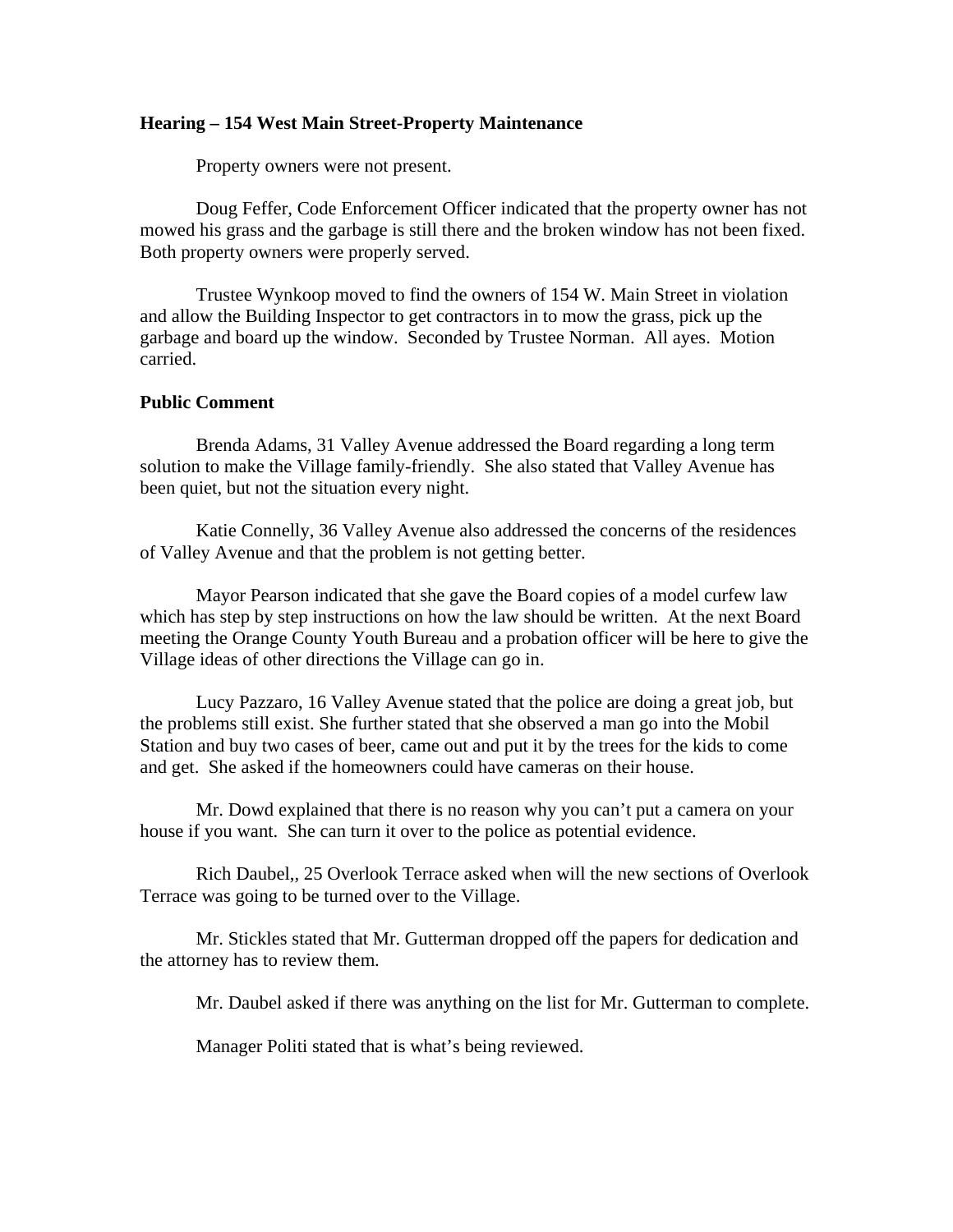## **Hearing – 154 West Main Street-Property Maintenance**

Property owners were not present.

 Doug Feffer, Code Enforcement Officer indicated that the property owner has not mowed his grass and the garbage is still there and the broken window has not been fixed. Both property owners were properly served.

 Trustee Wynkoop moved to find the owners of 154 W. Main Street in violation and allow the Building Inspector to get contractors in to mow the grass, pick up the garbage and board up the window. Seconded by Trustee Norman. All ayes. Motion carried.

## **Public Comment**

Brenda Adams, 31 Valley Avenue addressed the Board regarding a long term solution to make the Village family-friendly. She also stated that Valley Avenue has been quiet, but not the situation every night.

 Katie Connelly, 36 Valley Avenue also addressed the concerns of the residences of Valley Avenue and that the problem is not getting better.

 Mayor Pearson indicated that she gave the Board copies of a model curfew law which has step by step instructions on how the law should be written. At the next Board meeting the Orange County Youth Bureau and a probation officer will be here to give the Village ideas of other directions the Village can go in.

 Lucy Pazzaro, 16 Valley Avenue stated that the police are doing a great job, but the problems still exist. She further stated that she observed a man go into the Mobil Station and buy two cases of beer, came out and put it by the trees for the kids to come and get. She asked if the homeowners could have cameras on their house.

 Mr. Dowd explained that there is no reason why you can't put a camera on your house if you want. She can turn it over to the police as potential evidence.

 Rich Daubel,, 25 Overlook Terrace asked when will the new sections of Overlook Terrace was going to be turned over to the Village.

 Mr. Stickles stated that Mr. Gutterman dropped off the papers for dedication and the attorney has to review them.

Mr. Daubel asked if there was anything on the list for Mr. Gutterman to complete.

Manager Politi stated that is what's being reviewed.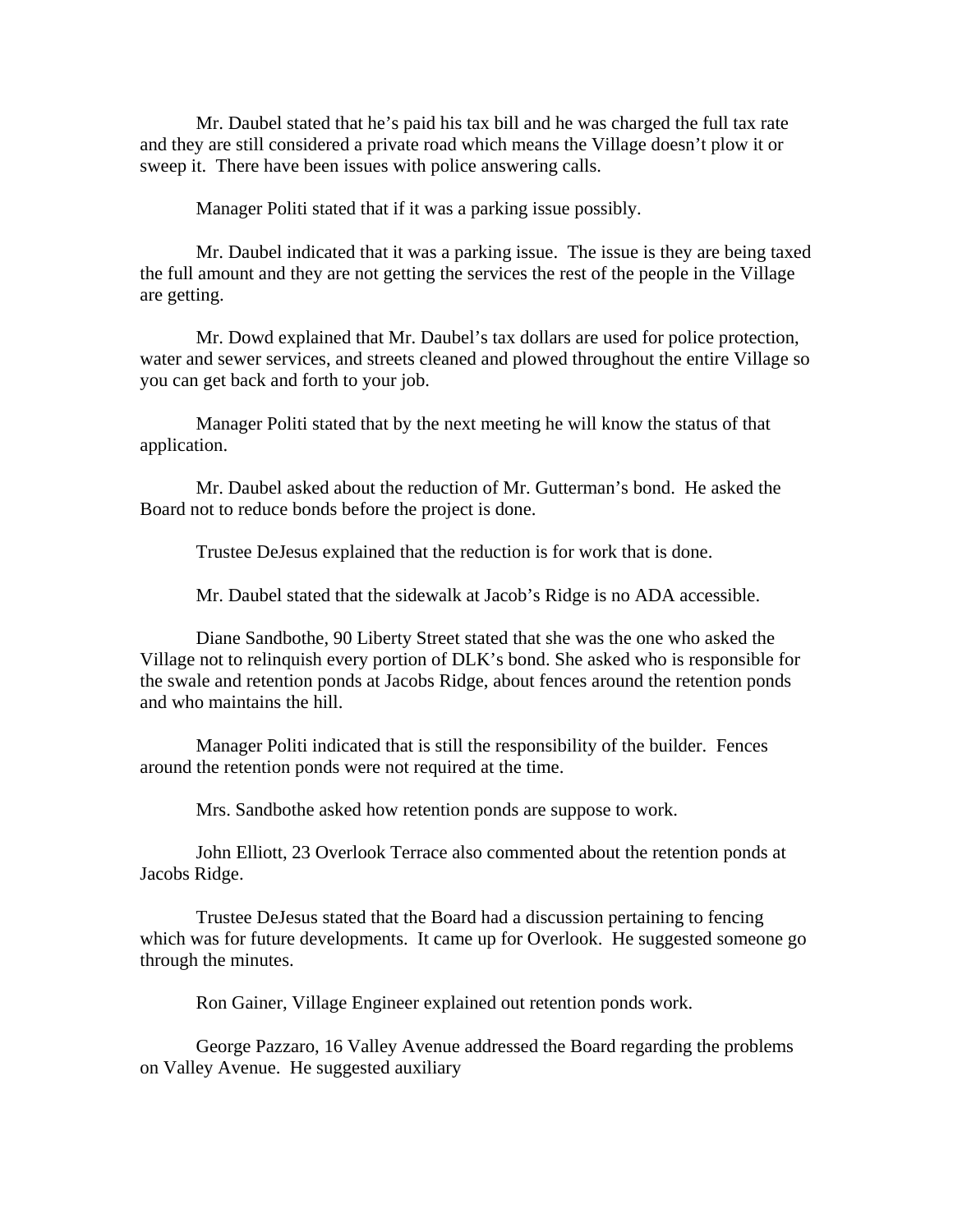Mr. Daubel stated that he's paid his tax bill and he was charged the full tax rate and they are still considered a private road which means the Village doesn't plow it or sweep it. There have been issues with police answering calls.

Manager Politi stated that if it was a parking issue possibly.

 Mr. Daubel indicated that it was a parking issue. The issue is they are being taxed the full amount and they are not getting the services the rest of the people in the Village are getting.

 Mr. Dowd explained that Mr. Daubel's tax dollars are used for police protection, water and sewer services, and streets cleaned and plowed throughout the entire Village so you can get back and forth to your job.

 Manager Politi stated that by the next meeting he will know the status of that application.

 Mr. Daubel asked about the reduction of Mr. Gutterman's bond. He asked the Board not to reduce bonds before the project is done.

Trustee DeJesus explained that the reduction is for work that is done.

Mr. Daubel stated that the sidewalk at Jacob's Ridge is no ADA accessible.

 Diane Sandbothe, 90 Liberty Street stated that she was the one who asked the Village not to relinquish every portion of DLK's bond. She asked who is responsible for the swale and retention ponds at Jacobs Ridge, about fences around the retention ponds and who maintains the hill.

 Manager Politi indicated that is still the responsibility of the builder. Fences around the retention ponds were not required at the time.

Mrs. Sandbothe asked how retention ponds are suppose to work.

 John Elliott, 23 Overlook Terrace also commented about the retention ponds at Jacobs Ridge.

 Trustee DeJesus stated that the Board had a discussion pertaining to fencing which was for future developments. It came up for Overlook. He suggested someone go through the minutes.

Ron Gainer, Village Engineer explained out retention ponds work.

 George Pazzaro, 16 Valley Avenue addressed the Board regarding the problems on Valley Avenue. He suggested auxiliary